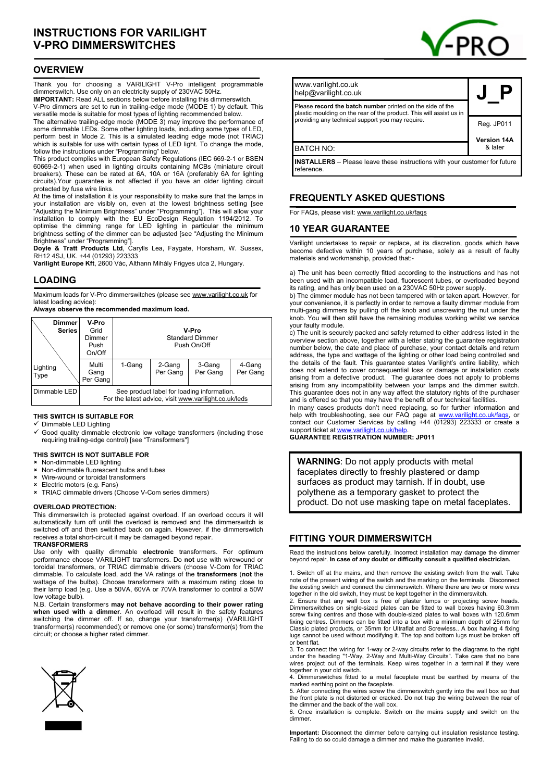## **OVERVIEW**

Thank you for choosing a VARILIGHT V-Pro intelligent programmable dimmerswitch. Use only on an electricity supply of 230VAC 50Hz.

**IMPORTANT:** Read ALL sections below before installing this dimmerswitch. V-Pro dimmers are set to run in trailing-edge mode (MODE 1) by default. This versatile mode is suitable for most types of lighting recommended below.

The alternative trailing-edge mode (MODE 3) may improve the performance of some dimmable LEDs. Some other lighting loads, including some types of LED, perform best in Mode 2. This is a simulated leading edge mode (not TRIAC) which is suitable for use with certain types of LED light. To change the mode, follow the instructions under "Programming" below.

This product complies with European Safety Regulations (IEC 669-2-1 or BSEN 60669-2-1) when used in lighting circuits containing MCBs (miniature circuit breakers). These can be rated at 6A, 10A or 16A (preferably 6A for lighting circuits).Your guarantee is not affected if you have an older lighting circuit protected by fuse wire links.

At the time of installation it is your responsibility to make sure that the lamps in your installation are visibly on, even at the lowest brightness setting [see "Adjusting the Minimum Brightness" under "Programming"]. This will allow your installation to comply with the EU EcoDesign Regulation 1194/2012. To optimise the dimming range for LED lighting in particular the minimum brightness setting of the dimmer can be adjusted [see "Adjusting the Minimum Brightness" under "Programming"].

**Doyle & Tratt Products Ltd**, Carylls Lea, Faygate, Horsham, W. Sussex, RH12 4SJ, UK. +44 (01293) 223333

**Varilight Europe Kft**, 2600 Vác, Althann Mihály Frigyes utca 2, Hungary.

### **LOADING**

Maximum loads for V-Pro dimmerswitches (please see www.varilight.co.uk for latest loading advice):

**Always observe the recommended maximum load.** 

| <b>Dimmer</b><br><b>Series</b> | V-Pro<br>Grid<br>Dimmer<br>Push<br>On/Off                                                           | V-Pro<br><b>Standard Dimmer</b><br>Push On/Off |                    |                    |                    |
|--------------------------------|-----------------------------------------------------------------------------------------------------|------------------------------------------------|--------------------|--------------------|--------------------|
| Lighting<br>Type               | Multi<br>Gang<br>Per Gang                                                                           | 1-Gang                                         | 2-Gang<br>Per Gang | 3-Gang<br>Per Gang | 4-Gang<br>Per Gang |
| Dimmable LED                   | See product label for loading information.<br>For the latest advice, visit www.varilight.co.uk/leds |                                                |                    |                    |                    |

#### **THIS SWITCH IS SUITABLE FOR**

Dimmable LED Lighting

Good quality dimmable electronic low voltage transformers (including those requiring trailing-edge control) [see "Transformers"]

### **THIS SWITCH IS NOT SUITABLE FOR**

# **×** Non-dimmable LED lighting<br>**×** Non-dimmable fluorescent **b**

- Non-dimmable fluorescent bulbs and tubes
- Wire-wound or toroidal transformers
- Electric motors (e.g. Fans)
- TRIAC dimmable drivers (Choose V-Com series dimmers)

#### **OVERLOAD PROTECTION:**

This dimmerswitch is protected against overload. If an overload occurs it will automatically turn off until the overload is removed and the dimmerswitch is switched off and then switched back on again. However, if the dimmerswitch receives a total short-circuit it may be damaged beyond repair. **TRANSFORMERS**

Use only with quality dimmable **electronic** transformers. For optimum performance choose VARILIGHT transformers. Do **not** use with wirewound or toroidal transformers, or TRIAC dimmable drivers (choose V-Com for TRIAC dimmable. To calculate load, add the VA ratings of the **transformers** (**not** the wattage of the bulbs). Choose transformers with a maximum rating close to their lamp load (e.g. Use a 50VA, 60VA or 70VA transformer to control a 50W low voltage bulb).

N.B. Certain transformers **may not behave according to their power rating when used with a dimmer**. An overload will result in the safety features switching the dimmer off. If so, change your transformer(s) (VARILIGHT transformer(s) recommended); or remove one (or some) transformer(s) from the circuit; or choose a higher rated dimmer.





| www.varilight.co.uk<br>help@varilight.co.uk                                                                                      |                    |  |  |  |
|----------------------------------------------------------------------------------------------------------------------------------|--------------------|--|--|--|
| Please record the batch number printed on the side of the<br>plastic moulding on the rear of the product. This will assist us in |                    |  |  |  |
| providing any technical support you may require.                                                                                 | Reg. JP011         |  |  |  |
|                                                                                                                                  | <b>Version 14A</b> |  |  |  |
| <b>BATCH NO:</b>                                                                                                                 | & later            |  |  |  |
| <b>INSTALLERS</b> – Please leave these instructions with your customer for future<br>reference.                                  |                    |  |  |  |

# **FREQUENTLY ASKED QUESTIONS**

For FAQs, please visit: www.varilight.co.uk/faqs

### **10 YEAR GUARANTEE**

Varilight undertakes to repair or replace, at its discretion, goods which have become defective within 10 years of purchase, solely as a result of faulty materials and workmanship, provided that:-

a) The unit has been correctly fitted according to the instructions and has not been used with an incompatible load, fluorescent tubes, or overloaded beyond its rating, and has only been used on a 230VAC 50Hz power supply.

b) The dimmer module has not been tampered with or taken apart. However, for your convenience, it is perfectly in order to remove a faulty dimmer module from multi-gang dimmers by pulling off the knob and unscrewing the nut under the knob. You will then still have the remaining modules working whilst we service your faulty module.

c) The unit is securely packed and safely returned to either address listed in the overview section above, together with a letter stating the guarantee registration number below, the date and place of purchase, your contact details and return address, the type and wattage of the lighting or other load being controlled and the details of the fault. This guarantee states Varilight's entire liability, which does not extend to cover consequential loss or damage or installation costs arising from a defective product. The guarantee does not apply to problems arising from any incompatibility between your lamps and the dimmer switch. This guarantee does not in any way affect the statutory rights of the purchaser and is offered so that you may have the benefit of our technical facilities

In many cases products don't need replacing, so for further information and help with troubleshooting see our FAQ page at www.varilight.co.uk/faqs, or help with troubleshooting, see our FAQ page at www. contact our Customer Services by calling +44 (01293) 223333 or create a support ticket at www.varilight.co.uk

### **GUARANTEE REGISTRATION NUMBER: JP011**

**WARNING**: Do not apply products with metal faceplates directly to freshly plastered or damp surfaces as product may tarnish. If in doubt, use polythene as a temporary gasket to protect the product. Do not use masking tape on metal faceplates.

### **FITTING YOUR DIMMERSWITCH**

Read the instructions below carefully. Incorrect installation may damage the dimmer beyond repair. **In case of any doubt or difficulty consult a qualified electrician.** 

1. Switch off at the mains, and then remove the existing switch from the wall. Take note of the present wiring of the switch and the marking on the terminals. Disconnect the existing switch and connect the dimmerswitch. Where there are two or more wires together in the old switch, they must be kept together in the dimmerswitch.

2. Ensure that any wall box is free of plaster lumps or projecting screw heads.<br>Dimmerswitches on single-sized plates can be fitted to wall boxes having 60.3mm<br>screw fixing centres and those with double-sized plates to wal fixing centres. Dimmers can be fitted into a box with a minimum depth of 25mm for Classic plated products, or 35mm for Ultraflat and Screwless.. A box having 4 fixing lugs cannot be used without modifying it. The top and bottom lugs must be broken off or bent flat.

3. To connect the wiring for 1-way or 2-way circuits refer to the diagrams to the right under the heading "1-Way, 2-Way and Multi-Way Circuits". Take care that no bare wires project out of the terminals. Keep wires together in a terminal if they were together in your old switch.

4. Dimmerswitches fitted to a metal faceplate must be earthed by means of the marked earthing point on the faceplate.

5. After connecting the wires screw the dimmerswitch gently into the wall box so that the front plate is not distorted or cracked. Do not trap the wiring between the rear of the dimmer and the back of the wall box.

6. Once installation is complete. Switch on the mains supply and switch on the dimmer.

**Important:** Disconnect the dimmer before carrying out insulation resistance testing. Failing to do so could damage a dimmer and make the guarantee invalid.